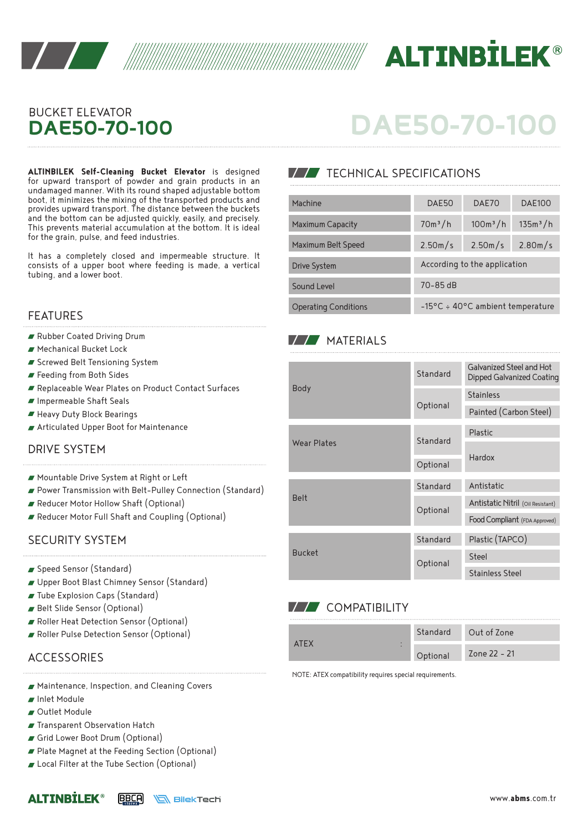



### BUCKET ELEVATOR **DAE50-70-100**

**ALTINBILEK Self-Cleaning Bucket Elevator** is designed TECHNICAL SPECIFICATIONS for upward transport of powder and grain products in an undamaged manner. With its round shaped adjustable bottom boot, it minimizes the mixing of the transported products and provides upward transport. The distance between the buckets and the bottom can be adjusted quickly, easily, and precisely. This prevents material accumulation at the bottom. It is ideal for the grain, pulse, and feed industries.

It has a completely closed and impermeable structure. It consists of a upper boot where feeding is made, a vertical tubing, and a lower boot.

### FEATURES

- Rubber Coated Driving Drum
- Mechanical Bucket Lock
- Screwed Belt Tensioning System
- Feeding from Both Sides
- Replaceable Wear Plates on Product Contact Surfaces
- Impermeable Shaft Seals
- Heavy Duty Block Bearings
- Articulated Upper Boot for Maintenance

### DRIVE SYSTEM

- Mountable Drive System at Right or Left
- Power Transmission with Belt-Pulley Connection (Standard)
- Reducer Motor Hollow Shaft (Optional)
- Reducer Motor Full Shaft and Coupling (Optional)

### SECURITY SYSTEM

- Speed Sensor (Standard)
- Upper Boot Blast Chimney Sensor (Standard)
- Tube Explosion Caps (Standard)
- Belt Slide Sensor (Optional)
- Roller Heat Detection Sensor (Optional)
- Roller Pulse Detection Sensor (Optional)

### **ACCESSORIES**

- Maintenance, Inspection, and Cleaning Covers
- Inlet Module
- Outlet Module

**ALTINRTLFK®** 

- **Transparent Observation Hatch**
- Grid Lower Boot Drum (Optional)
- Plate Magnet at the Feeding Section (Optional)

BBCA

**SIEKTECH** 

Local Filter at the Tube Section (Optional)

# **DAE50-70-100**

| Machine                     | DAE50                                      | DAE70      | <b>DAE100</b>        |  |  |
|-----------------------------|--------------------------------------------|------------|----------------------|--|--|
| <b>Maximum Capacity</b>     | $70m^3/h$                                  | $100m^3/h$ | 135m <sup>3</sup> /h |  |  |
| Maximum Belt Speed          | 2.50m/s                                    | 2.50m/s    | 2.80m/s              |  |  |
| <b>Drive System</b>         | According to the application               |            |                      |  |  |
| Sound Level                 | 70-85 dB                                   |            |                      |  |  |
| <b>Operating Conditions</b> | $-15^{\circ}$ C ÷ 40°C ambient temperature |            |                      |  |  |

### **MATERIALS**

| <b>Body</b>        | Standard | Galvanized Steel and Hot<br>Dipped Galvanized Coating |  |
|--------------------|----------|-------------------------------------------------------|--|
|                    |          | <b>Stainless</b>                                      |  |
|                    | Optional | Painted (Carbon Steel)                                |  |
| <b>Wear Plates</b> | Standard | Plastic                                               |  |
|                    |          | Hardox                                                |  |
|                    | Optional |                                                       |  |
| <b>Belt</b>        | Standard | Antistatic                                            |  |
|                    | Optional | Antistatic Nitril (Oil Resistant)                     |  |
|                    |          | Food Compliant (FDA Approved)                         |  |
| <b>Bucket</b>      | Standard | Plastic (TAPCO)                                       |  |
|                    | Optional | Steel                                                 |  |
|                    |          | <b>Stainless Steel</b>                                |  |

### **V/V** COMPATIBILITY

|             | Standard | Out of Zone  |
|-------------|----------|--------------|
| <b>ATFX</b> | Optional | Zone 22 - 21 |

NOTE: ATEX compatibility requires special requirements.